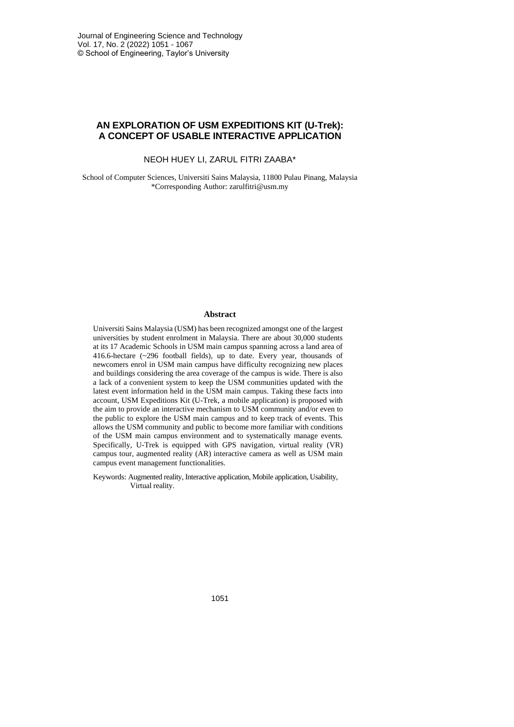## **AN EXPLORATION OF USM EXPEDITIONS KIT (U-Trek): A CONCEPT OF USABLE INTERACTIVE APPLICATION**

#### NEOH HUEY LI, ZARUL FITRI ZAABA\*

School of Computer Sciences, Universiti Sains Malaysia, 11800 Pulau Pinang, Malaysia \*Corresponding Author: zarulfitri@usm.my

#### **Abstract**

Universiti Sains Malaysia (USM) has been recognized amongst one of the largest universities by student enrolment in Malaysia. There are about 30,000 students at its 17 Academic Schools in USM main campus spanning across a land area of 416.6-hectare (~296 football fields), up to date. Every year, thousands of newcomers enrol in USM main campus have difficulty recognizing new places and buildings considering the area coverage of the campus is wide. There is also a lack of a convenient system to keep the USM communities updated with the latest event information held in the USM main campus. Taking these facts into account, USM Expeditions Kit (U-Trek, a mobile application) is proposed with the aim to provide an interactive mechanism to USM community and/or even to the public to explore the USM main campus and to keep track of events. This allows the USM community and public to become more familiar with conditions of the USM main campus environment and to systematically manage events. Specifically, U-Trek is equipped with GPS navigation, virtual reality (VR) campus tour, augmented reality (AR) interactive camera as well as USM main campus event management functionalities.

Keywords: Augmented reality, Interactive application, Mobile application, Usability, Virtual reality.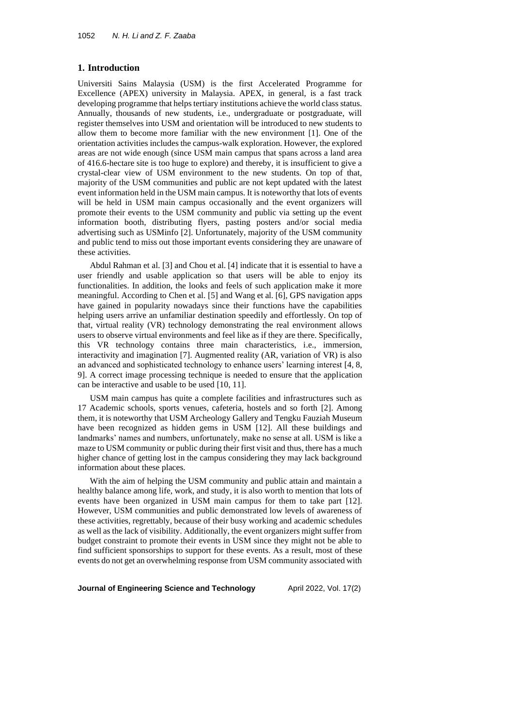#### **1. Introduction**

Universiti Sains Malaysia (USM) is the first Accelerated Programme for Excellence (APEX) university in Malaysia. APEX, in general, is a fast track developing programme that helps tertiary institutions achieve the world class status. Annually, thousands of new students, i.e., undergraduate or postgraduate, will register themselves into USM and orientation will be introduced to new students to allow them to become more familiar with the new environment [1]. One of the orientation activities includes the campus-walk exploration. However, the explored areas are not wide enough (since USM main campus that spans across a land area of 416.6-hectare site is too huge to explore) and thereby, it is insufficient to give a crystal-clear view of USM environment to the new students. On top of that, majority of the USM communities and public are not kept updated with the latest event information held in the USM main campus. It is noteworthy that lots of events will be held in USM main campus occasionally and the event organizers will promote their events to the USM community and public via setting up the event information booth, distributing flyers, pasting posters and/or social media advertising such as USMinfo [2]. Unfortunately, majority of the USM community and public tend to miss out those important events considering they are unaware of these activities.

Abdul Rahman et al. [3] and Chou et al. [4] indicate that it is essential to have a user friendly and usable application so that users will be able to enjoy its functionalities. In addition, the looks and feels of such application make it more meaningful. According to Chen et al. [5] and Wang et al. [6], GPS navigation apps have gained in popularity nowadays since their functions have the capabilities helping users arrive an unfamiliar destination speedily and effortlessly. On top of that, virtual reality (VR) technology demonstrating the real environment allows users to observe virtual environments and feel like as if they are there. Specifically, this VR technology contains three main characteristics, i.e., immersion, interactivity and imagination [7]. Augmented reality (AR, variation of VR) is also an advanced and sophisticated technology to enhance users' learning interest [4, 8, 9]. A correct image processing technique is needed to ensure that the application can be interactive and usable to be used [10, 11].

USM main campus has quite a complete facilities and infrastructures such as 17 Academic schools, sports venues, cafeteria, hostels and so forth [2]. Among them, it is noteworthy that USM Archeology Gallery and Tengku Fauziah Museum have been recognized as hidden gems in USM [12]. All these buildings and landmarks' names and numbers, unfortunately, make no sense at all. USM is like a maze to USM community or public during their first visit and thus, there has a much higher chance of getting lost in the campus considering they may lack background information about these places.

With the aim of helping the USM community and public attain and maintain a healthy balance among life, work, and study, it is also worth to mention that lots of events have been organized in USM main campus for them to take part [12]. However, USM communities and public demonstrated low levels of awareness of these activities, regrettably, because of their busy working and academic schedules as well as the lack of visibility. Additionally, the event organizers might suffer from budget constraint to promote their events in USM since they might not be able to find sufficient sponsorships to support for these events. As a result, most of these events do not get an overwhelming response from USM community associated with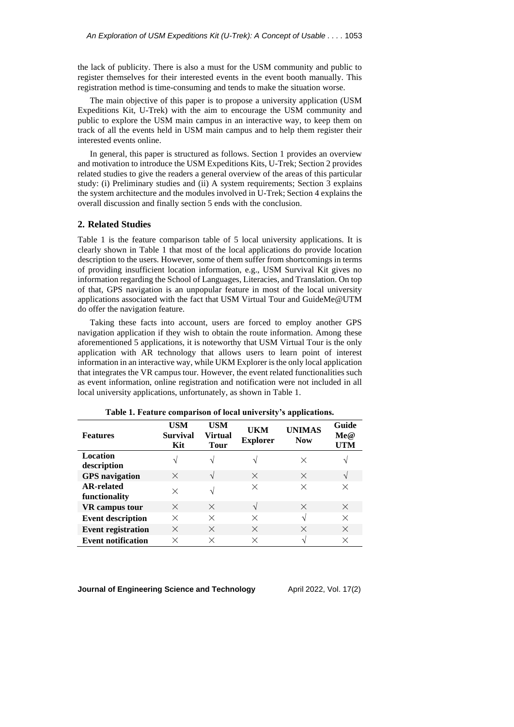the lack of publicity. There is also a must for the USM community and public to register themselves for their interested events in the event booth manually. This registration method is time-consuming and tends to make the situation worse.

The main objective of this paper is to propose a university application (USM Expeditions Kit, U-Trek) with the aim to encourage the USM community and public to explore the USM main campus in an interactive way, to keep them on track of all the events held in USM main campus and to help them register their interested events online.

In general, this paper is structured as follows. Section 1 provides an overview and motivation to introduce the USM Expeditions Kits, U-Trek; Section 2 provides related studies to give the readers a general overview of the areas of this particular study: (i) Preliminary studies and (ii) A system requirements; Section 3 explains the system architecture and the modules involved in U-Trek; Section 4 explains the overall discussion and finally section 5 ends with the conclusion.

### **2. Related Studies**

Table 1 is the feature comparison table of 5 local university applications. It is clearly shown in Table 1 that most of the local applications do provide location description to the users. However, some of them suffer from shortcomings in terms of providing insufficient location information, e.g., USM Survival Kit gives no information regarding the School of Languages, Literacies, and Translation. On top of that, GPS navigation is an unpopular feature in most of the local university applications associated with the fact that USM Virtual Tour and GuideMe@UTM do offer the navigation feature.

Taking these facts into account, users are forced to employ another GPS navigation application if they wish to obtain the route information. Among these aforementioned 5 applications, it is noteworthy that USM Virtual Tour is the only application with AR technology that allows users to learn point of interest information in an interactive way, while UKM Explorer is the only local application that integrates the VR campus tour. However, the event related functionalities such as event information, online registration and notification were not included in all local university applications, unfortunately, as shown in Table 1.

| <b>Features</b>                    | <b>USM</b><br><b>Survival</b><br>Kit | <b>USM</b><br>Virtual<br>Tour | UKM<br><b>Explorer</b> | <b>UNIMAS</b><br><b>Now</b> | Guide<br>Me@<br>UTM |
|------------------------------------|--------------------------------------|-------------------------------|------------------------|-----------------------------|---------------------|
| Location<br>description            | اد                                   | ٦Ι                            |                        | X                           | V                   |
| <b>GPS</b> navigation              | $\times$                             | $\mathcal{L}$                 | $\times$               | $\times$                    | V                   |
| <b>AR-related</b><br>functionality | $\times$                             | اد                            | $\times$               | $\times$                    | X                   |
| VR campus tour                     | $\times$                             | X                             | $\mathcal{N}$          | $\times$                    | $\times$            |
| <b>Event description</b>           | X                                    | X                             | $\times$               | $\mathcal{N}$               | $\times$            |
| <b>Event registration</b>          | $\times$                             | $\times$                      | $\times$               | $\times$                    | $\times$            |
| <b>Event notification</b>          | ×                                    | X                             | X                      | ٦Ι                          | X                   |

**Table 1. Feature comparison of local university's applications.**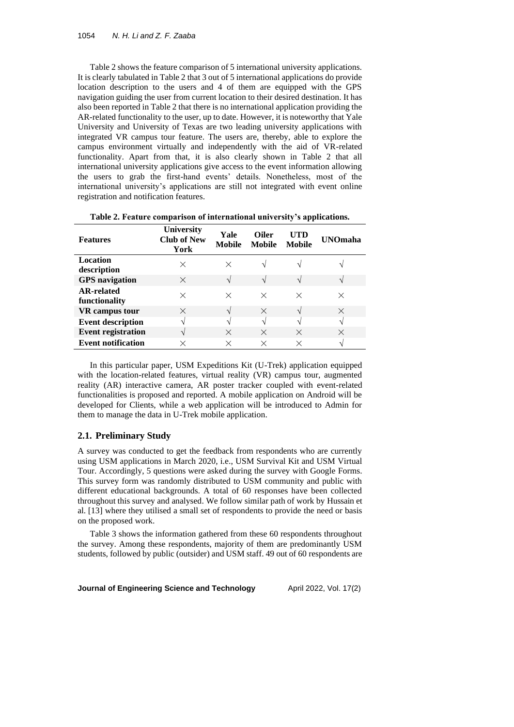Table 2 shows the feature comparison of 5 international university applications. It is clearly tabulated in Table 2 that 3 out of 5 international applications do provide location description to the users and 4 of them are equipped with the GPS navigation guiding the user from current location to their desired destination. It has also been reported in Table 2 that there is no international application providing the AR-related functionality to the user, up to date. However, it is noteworthy that Yale University and University of Texas are two leading university applications with integrated VR campus tour feature. The users are, thereby, able to explore the campus environment virtually and independently with the aid of VR-related functionality. Apart from that, it is also clearly shown in Table 2 that all international university applications give access to the event information allowing the users to grab the first-hand events' details. Nonetheless, most of the international university's applications are still not integrated with event online registration and notification features.

| <b>Features</b>                    | <b>University</b><br><b>Club of New</b><br>York | Yale<br><b>Mobile</b> | <b>Oiler</b><br><b>Mobile</b> | <b>ITD</b><br><b>Mobile</b> | <b>UNOmaha</b> |
|------------------------------------|-------------------------------------------------|-----------------------|-------------------------------|-----------------------------|----------------|
| <b>Location</b><br>description     | $\times$                                        | ×                     |                               |                             |                |
| <b>GPS</b> navigation              | X                                               |                       | $\mathcal{L}$                 |                             |                |
| <b>AR-related</b><br>functionality | X                                               | $\times$              | X                             | $\times$                    | $\times$       |
| <b>VR</b> campus tour              | $\times$                                        |                       | $\times$                      | $\mathcal{N}$               | $\times$       |
| <b>Event description</b>           | اد                                              |                       | N                             | ٦Ι                          | $\mathbf{v}$   |
| <b>Event registration</b>          | اد                                              | $\times$              | $\times$                      | $\times$                    | $\times$       |
| <b>Event notification</b>          |                                                 | ×                     | $\times$                      | ×                           |                |

**Table 2. Feature comparison of international university's applications.**

In this particular paper, USM Expeditions Kit (U-Trek) application equipped with the location-related features, virtual reality (VR) campus tour, augmented reality (AR) interactive camera, AR poster tracker coupled with event-related functionalities is proposed and reported. A mobile application on Android will be developed for Clients, while a web application will be introduced to Admin for them to manage the data in U-Trek mobile application.

### **2.1. Preliminary Study**

A survey was conducted to get the feedback from respondents who are currently using USM applications in March 2020, i.e., USM Survival Kit and USM Virtual Tour. Accordingly, 5 questions were asked during the survey with Google Forms. This survey form was randomly distributed to USM community and public with different educational backgrounds. A total of 60 responses have been collected throughout this survey and analysed. We follow similar path of work by Hussain et al. [13] where they utilised a small set of respondents to provide the need or basis on the proposed work.

Table 3 shows the information gathered from these 60 respondents throughout the survey. Among these respondents, majority of them are predominantly USM students, followed by public (outsider) and USM staff. 49 out of 60 respondents are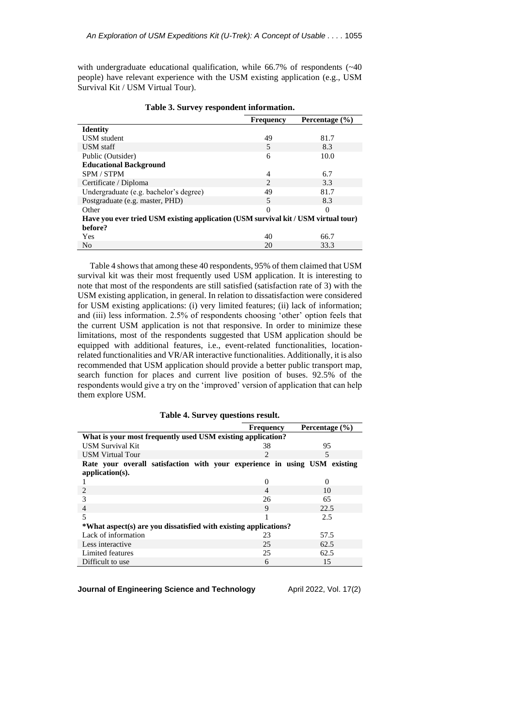with undergraduate educational qualification, while 66.7% of respondents ( $\sim$ 40 people) have relevant experience with the USM existing application (e.g., USM Survival Kit / USM Virtual Tour).

|                                                                                    | <b>Frequency</b> | Percentage $(\% )$ |  |  |  |  |
|------------------------------------------------------------------------------------|------------------|--------------------|--|--|--|--|
| <b>Identity</b>                                                                    |                  |                    |  |  |  |  |
| <b>USM</b> student                                                                 | 49               | 81.7               |  |  |  |  |
| USM staff                                                                          | 5                | 8.3                |  |  |  |  |
| Public (Outsider)                                                                  | 6                | 10.0               |  |  |  |  |
| <b>Educational Background</b>                                                      |                  |                    |  |  |  |  |
| SPM / STPM                                                                         | 4                | 6.7                |  |  |  |  |
| Certificate / Diploma                                                              | $\mathfrak{D}$   | 3.3                |  |  |  |  |
| Undergraduate (e.g. bachelor's degree)                                             | 49               | 81.7               |  |  |  |  |
| Postgraduate (e.g. master, PHD)                                                    | 5                | 8.3                |  |  |  |  |
| Other                                                                              | $\Omega$         | 0                  |  |  |  |  |
| Have you ever tried USM existing application (USM survival kit / USM virtual tour) |                  |                    |  |  |  |  |
| before?                                                                            |                  |                    |  |  |  |  |
| Yes                                                                                | 40               | 66.7               |  |  |  |  |
| N <sub>0</sub>                                                                     | 20               | 33.3               |  |  |  |  |

**Table 3. Survey respondent information.**

Table 4 shows that among these 40 respondents, 95% of them claimed that USM survival kit was their most frequently used USM application. It is interesting to note that most of the respondents are still satisfied (satisfaction rate of 3) with the USM existing application, in general. In relation to dissatisfaction were considered for USM existing applications: (i) very limited features; (ii) lack of information; and (iii) less information. 2.5% of respondents choosing 'other' option feels that the current USM application is not that responsive. In order to minimize these limitations, most of the respondents suggested that USM application should be equipped with additional features, i.e., event-related functionalities, locationrelated functionalities and VR/AR interactive functionalities. Additionally, it is also recommended that USM application should provide a better public transport map, search function for places and current live position of buses. 92.5% of the respondents would give a try on the 'improved' version of application that can help them explore USM.

**Table 4. Survey questions result. Frequency Percentage (%) What is your most frequently used USM existing application?** USM Survival Kit 38 38 95 USM Virtual Tour 2 5 **Rate your overall satisfaction with your experience in using USM existing application(s).**  $1$  0 0 2  $\overline{4}$  10 3 26 65 4 9 22.5 5 1 2.5 **\*What aspect(s) are you dissatisfied with existing applications?** Lack of information 23 57.5<br>Less interactive 25 62.5 Less interactive 25 62.5<br>
Limited features 25 62.5 Limited features 25 62.5<br>Difficult to use 6 15 Difficult to use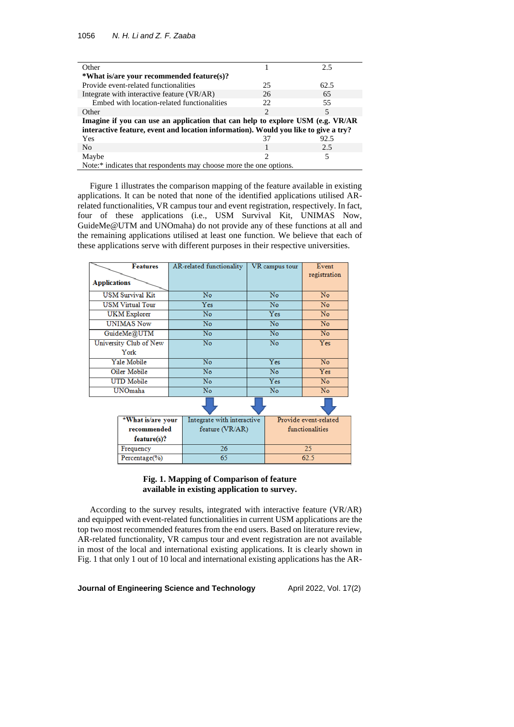| Other                                                                               |                             | 2.5  |  |  |  |
|-------------------------------------------------------------------------------------|-----------------------------|------|--|--|--|
| *What is/are your recommended feature(s)?                                           |                             |      |  |  |  |
| Provide event-related functionalities                                               | 25                          | 62.5 |  |  |  |
| Integrate with interactive feature (VR/AR)                                          | 26                          | 65   |  |  |  |
| Embed with location-related functionalities                                         | 22                          | 55   |  |  |  |
| Other                                                                               | $\mathcal{L}$               | 5    |  |  |  |
| Imagine if you can use an application that can help to explore USM (e.g. VR/AR      |                             |      |  |  |  |
| interactive feature, event and location information). Would you like to give a try? |                             |      |  |  |  |
| Yes                                                                                 | 37                          | 92.5 |  |  |  |
| N <sub>0</sub>                                                                      |                             | 2.5  |  |  |  |
| Maybe                                                                               | $\mathcal{D}_{\mathcal{L}}$ | 5    |  |  |  |
| Note:* indicates that respondents may choose more the one options.                  |                             |      |  |  |  |

Figure 1 illustrates the comparison mapping of the feature available in existing applications. It can be noted that none of the identified applications utilised ARrelated functionalities, VR campus tour and event registration, respectively. In fact, four of these applications (i.e., USM Survival Kit, UNIMAS Now, GuideMe@UTM and UNOmaha) do not provide any of these functions at all and the remaining applications utilised at least one function. We believe that each of these applications serve with different purposes in their respective universities.

| <b>Applications</b> | <b>Features</b>         |                            | AR-related functionality |                       | VR campus tour | Event<br>registration |
|---------------------|-------------------------|----------------------------|--------------------------|-----------------------|----------------|-----------------------|
|                     |                         |                            |                          |                       |                |                       |
|                     | <b>USM Survival Kit</b> | No                         |                          | No                    |                | No                    |
|                     | <b>USM Virtual Tour</b> |                            | Yes                      | No                    |                | No                    |
|                     | <b>UKM</b> Explorer     |                            | No                       | Yes                   |                | No                    |
|                     | <b>UNIMAS Now</b>       |                            | No                       |                       | No             | No                    |
|                     | GuideMe@UTM             |                            | No                       |                       | No             | No                    |
|                     | University Club of New  |                            | No                       | No                    |                | <b>Yes</b>            |
|                     | York                    |                            |                          |                       |                |                       |
|                     | <b>Yale Mobile</b>      | No                         |                          | Yes                   |                | No                    |
|                     | Oiler Mobile            | $\overline{\text{No}}$     |                          | $\overline{N}$ o      |                | Yes                   |
|                     | <b>UTD Mobile</b>       | No                         |                          | Yes                   |                | No                    |
|                     | UNOmaha                 |                            | No                       |                       | No             | No                    |
|                     |                         |                            |                          |                       |                |                       |
| *What is/are your   |                         | Integrate with interactive |                          | Provide event-related |                |                       |
| recommended         |                         | feature (VR/AR)            |                          | functionalities       |                |                       |
|                     | feature(s)?             |                            |                          |                       |                |                       |
|                     | Frequency               |                            | $\overline{26}$          |                       | 25             |                       |
|                     | Percentage(%)           | 65                         |                          |                       | 62.5           |                       |

#### **Fig. 1. Mapping of Comparison of feature available in existing application to survey.**

According to the survey results, integrated with interactive feature (VR/AR) and equipped with event-related functionalities in current USM applications are the top two most recommended features from the end users. Based on literature review, AR-related functionality, VR campus tour and event registration are not available in most of the local and international existing applications. It is clearly shown in Fig. 1 that only 1 out of 10 local and international existing applications has the AR-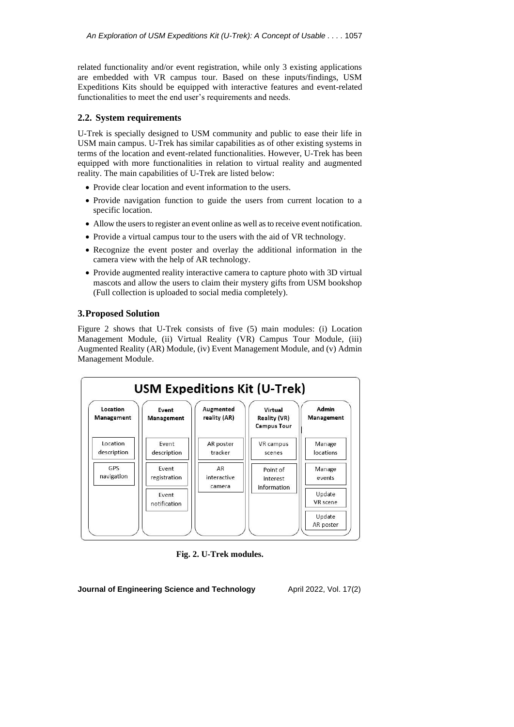related functionality and/or event registration, while only 3 existing applications are embedded with VR campus tour. Based on these inputs/findings, USM Expeditions Kits should be equipped with interactive features and event-related functionalities to meet the end user's requirements and needs.

## **2.2. System requirements**

U-Trek is specially designed to USM community and public to ease their life in USM main campus. U-Trek has similar capabilities as of other existing systems in terms of the location and event-related functionalities. However, U-Trek has been equipped with more functionalities in relation to virtual reality and augmented reality. The main capabilities of U-Trek are listed below:

- Provide clear location and event information to the users.
- Provide navigation function to guide the users from current location to a specific location.
- Allow the users to register an event online as well as to receive event notification.
- Provide a virtual campus tour to the users with the aid of VR technology.
- Recognize the event poster and overlay the additional information in the camera view with the help of AR technology.
- Provide augmented reality interactive camera to capture photo with 3D virtual mascots and allow the users to claim their mystery gifts from USM bookshop (Full collection is uploaded to social media completely).

### **3.Proposed Solution**

Figure 2 shows that U-Trek consists of five (5) main modules: (i) Location Management Module, (ii) Virtual Reality (VR) Campus Tour Module, (iii) Augmented Reality (AR) Module, (iv) Event Management Module, and (v) Admin Management Module.



**Fig. 2. U-Trek modules.**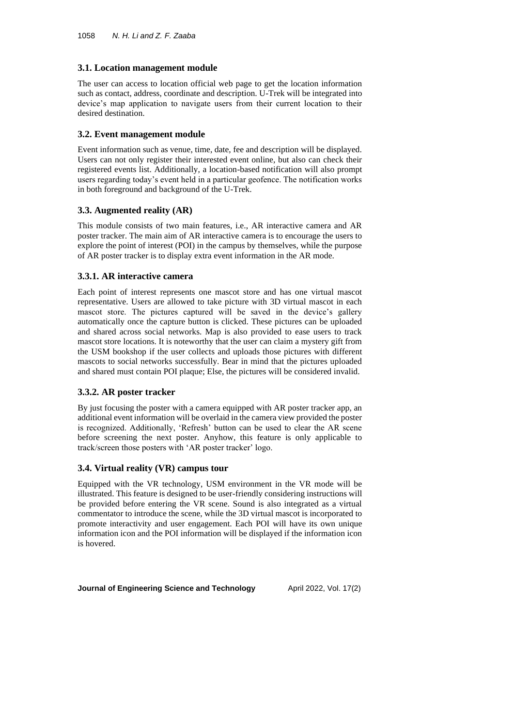## **3.1. Location management module**

The user can access to location official web page to get the location information such as contact, address, coordinate and description. U-Trek will be integrated into device's map application to navigate users from their current location to their desired destination.

# **3.2. Event management module**

Event information such as venue, time, date, fee and description will be displayed. Users can not only register their interested event online, but also can check their registered events list. Additionally, a location-based notification will also prompt users regarding today's event held in a particular geofence. The notification works in both foreground and background of the U-Trek.

# **3.3. Augmented reality (AR)**

This module consists of two main features, i.e., AR interactive camera and AR poster tracker. The main aim of AR interactive camera is to encourage the users to explore the point of interest (POI) in the campus by themselves, while the purpose of AR poster tracker is to display extra event information in the AR mode.

## **3.3.1. AR interactive camera**

Each point of interest represents one mascot store and has one virtual mascot representative. Users are allowed to take picture with 3D virtual mascot in each mascot store. The pictures captured will be saved in the device's gallery automatically once the capture button is clicked. These pictures can be uploaded and shared across social networks. Map is also provided to ease users to track mascot store locations. It is noteworthy that the user can claim a mystery gift from the USM bookshop if the user collects and uploads those pictures with different mascots to social networks successfully. Bear in mind that the pictures uploaded and shared must contain POI plaque; Else, the pictures will be considered invalid.

# **3.3.2. AR poster tracker**

By just focusing the poster with a camera equipped with AR poster tracker app, an additional event information will be overlaid in the camera view provided the poster is recognized. Additionally, 'Refresh' button can be used to clear the AR scene before screening the next poster. Anyhow, this feature is only applicable to track/screen those posters with 'AR poster tracker' logo.

# **3.4. Virtual reality (VR) campus tour**

Equipped with the VR technology, USM environment in the VR mode will be illustrated. This feature is designed to be user-friendly considering instructions will be provided before entering the VR scene. Sound is also integrated as a virtual commentator to introduce the scene, while the 3D virtual mascot is incorporated to promote interactivity and user engagement. Each POI will have its own unique information icon and the POI information will be displayed if the information icon is hovered.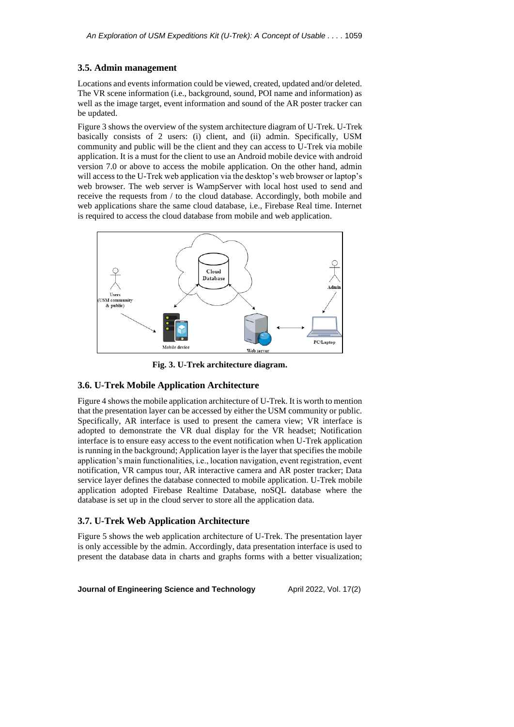#### **3.5. Admin management**

Locations and events information could be viewed, created, updated and/or deleted. The VR scene information (i.e., background, sound, POI name and information) as well as the image target, event information and sound of the AR poster tracker can be updated.

Figure 3 shows the overview of the system architecture diagram of U-Trek. U-Trek basically consists of 2 users: (i) client, and (ii) admin. Specifically, USM community and public will be the client and they can access to U-Trek via mobile application. It is a must for the client to use an Android mobile device with android version 7.0 or above to access the mobile application. On the other hand, admin will access to the U-Trek web application via the desktop's web browser or laptop's web browser. The web server is WampServer with local host used to send and receive the requests from / to the cloud database. Accordingly, both mobile and web applications share the same cloud database, i.e., Firebase Real time. Internet is required to access the cloud database from mobile and web application.



**Fig. 3. U-Trek architecture diagram.**

#### **3.6. U-Trek Mobile Application Architecture**

Figure 4 shows the mobile application architecture of U-Trek. It is worth to mention that the presentation layer can be accessed by either the USM community or public. Specifically, AR interface is used to present the camera view; VR interface is adopted to demonstrate the VR dual display for the VR headset; Notification interface is to ensure easy access to the event notification when U-Trek application is running in the background; Application layer is the layer that specifies the mobile application's main functionalities, i.e., location navigation, event registration, event notification, VR campus tour, AR interactive camera and AR poster tracker; Data service layer defines the database connected to mobile application. U-Trek mobile application adopted Firebase Realtime Database, noSQL database where the database is set up in the cloud server to store all the application data.

#### **3.7. U-Trek Web Application Architecture**

Figure 5 shows the web application architecture of U-Trek. The presentation layer is only accessible by the admin. Accordingly, data presentation interface is used to present the database data in charts and graphs forms with a better visualization;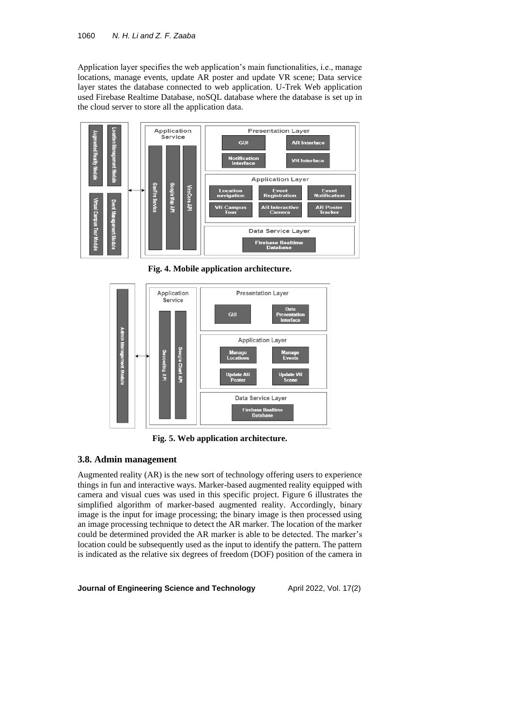Application layer specifies the web application's main functionalities, i.e., manage locations, manage events, update AR poster and update VR scene; Data service layer states the database connected to web application. U-Trek Web application used Firebase Realtime Database, noSQL database where the database is set up in the cloud server to store all the application data.



**Fig. 4. Mobile application architecture.**



**Fig. 5. Web application architecture.**

### **3.8. Admin management**

Augmented reality (AR) is the new sort of technology offering users to experience things in fun and interactive ways. Marker-based augmented reality equipped with camera and visual cues was used in this specific project. Figure 6 illustrates the simplified algorithm of marker-based augmented reality. Accordingly, binary image is the input for image processing; the binary image is then processed using an image processing technique to detect the AR marker. The location of the marker could be determined provided the AR marker is able to be detected. The marker's location could be subsequently used as the input to identify the pattern. The pattern is indicated as the relative six degrees of freedom (DOF) position of the camera in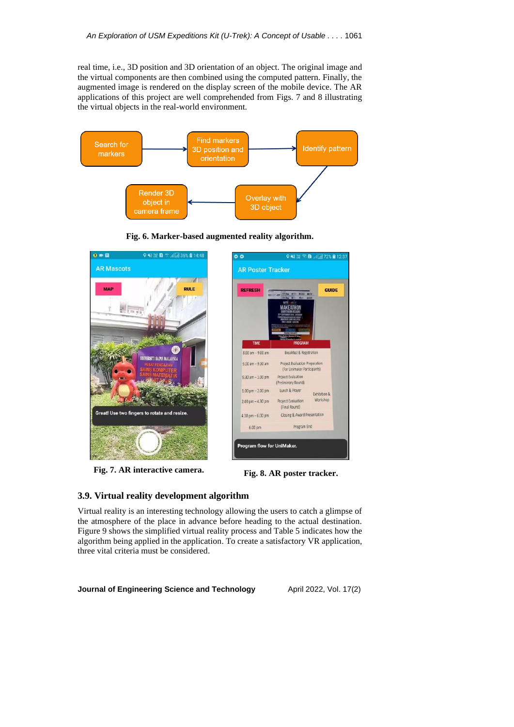real time, i.e., 3D position and 3D orientation of an object. The original image and the virtual components are then combined using the computed pattern. Finally, the augmented image is rendered on the display screen of the mobile device. The AR applications of this project are well comprehended from Figs. 7 and 8 illustrating the virtual objects in the real-world environment.



**Fig. 6. Marker-based augmented reality algorithm.**



**Fig. 7. AR interactive camera. Fig. 8. AR poster tracker.**



#### **3.9. Virtual reality development algorithm**

Virtual reality is an interesting technology allowing the users to catch a glimpse of the atmosphere of the place in advance before heading to the actual destination. Figure 9 shows the simplified virtual reality process and Table 5 indicates how the algorithm being applied in the application. To create a satisfactory VR application, three vital criteria must be considered.

**Journal of Engineering Science and Technology** April 2022, Vol. 17(2)

**GUIDE** 

Exhibition & Workshop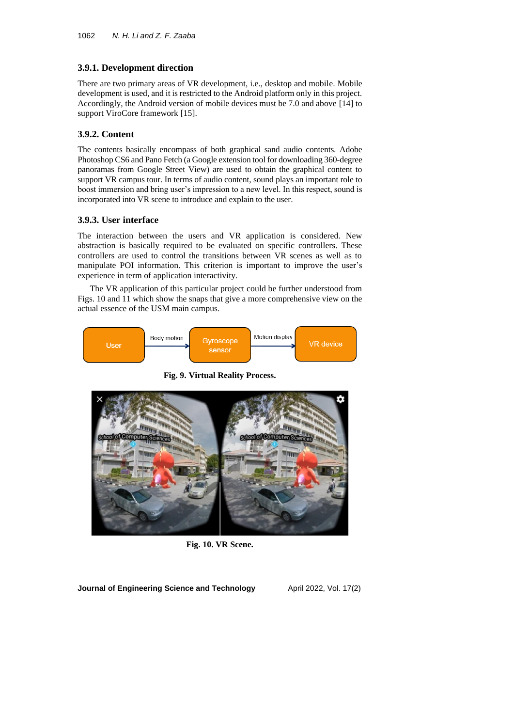### **3.9.1. Development direction**

There are two primary areas of VR development, i.e., desktop and mobile. Mobile development is used, and it is restricted to the Android platform only in this project. Accordingly, the Android version of mobile devices must be 7.0 and above [14] to support ViroCore framework [15].

#### **3.9.2. Content**

The contents basically encompass of both graphical sand audio contents. Adobe Photoshop CS6 and Pano Fetch (a Google extension tool for downloading 360-degree panoramas from Google Street View) are used to obtain the graphical content to support VR campus tour. In terms of audio content, sound plays an important role to boost immersion and bring user's impression to a new level. In this respect, sound is incorporated into VR scene to introduce and explain to the user.

#### **3.9.3. User interface**

The interaction between the users and VR application is considered. New abstraction is basically required to be evaluated on specific controllers. These controllers are used to control the transitions between VR scenes as well as to manipulate POI information. This criterion is important to improve the user's experience in term of application interactivity.

The VR application of this particular project could be further understood from Figs. 10 and 11 which show the snaps that give a more comprehensive view on the actual essence of the USM main campus.



**Fig. 9. Virtual Reality Process.**



**Fig. 10. VR Scene.**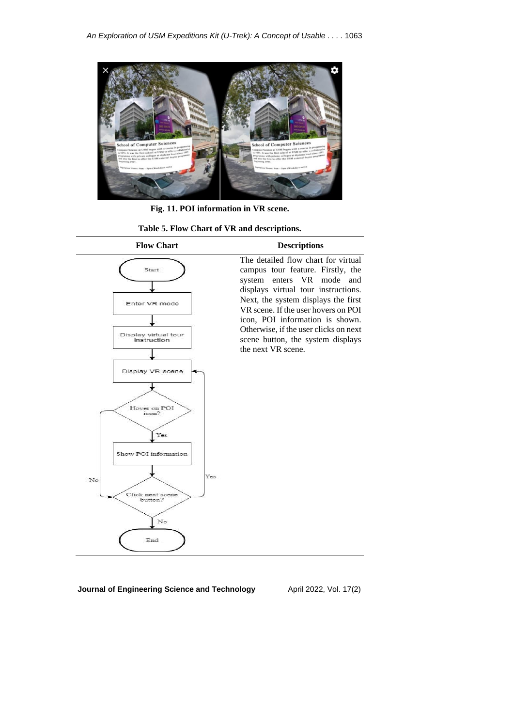

**Fig. 11. POI information in VR scene.**

**Table 5. Flow Chart of VR and descriptions.**

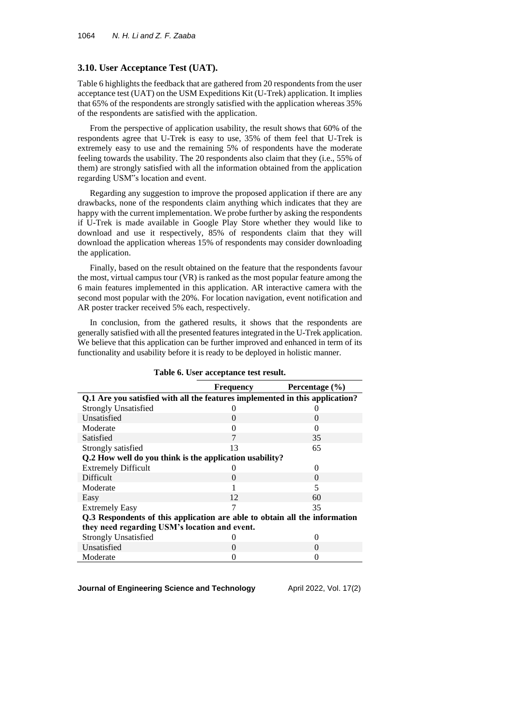#### **3.10. User Acceptance Test (UAT).**

Table 6 highlights the feedback that are gathered from 20 respondents from the user acceptance test (UAT) on the USM Expeditions Kit (U-Trek) application. It implies that 65% of the respondents are strongly satisfied with the application whereas 35% of the respondents are satisfied with the application.

From the perspective of application usability, the result shows that 60% of the respondents agree that U-Trek is easy to use, 35% of them feel that U-Trek is extremely easy to use and the remaining 5% of respondents have the moderate feeling towards the usability. The 20 respondents also claim that they (i.e., 55% of them) are strongly satisfied with all the information obtained from the application regarding USM"s location and event.

Regarding any suggestion to improve the proposed application if there are any drawbacks, none of the respondents claim anything which indicates that they are happy with the current implementation. We probe further by asking the respondents if U-Trek is made available in Google Play Store whether they would like to download and use it respectively, 85% of respondents claim that they will download the application whereas 15% of respondents may consider downloading the application.

Finally, based on the result obtained on the feature that the respondents favour the most, virtual campus tour (VR) is ranked as the most popular feature among the 6 main features implemented in this application. AR interactive camera with the second most popular with the 20%. For location navigation, event notification and AR poster tracker received 5% each, respectively.

In conclusion, from the gathered results, it shows that the respondents are generally satisfied with all the presented features integrated in the U-Trek application. We believe that this application can be further improved and enhanced in term of its functionality and usability before it is ready to be deployed in holistic manner.

|                                                                              | Frequency | Percentage $(\% )$ |  |  |  |  |
|------------------------------------------------------------------------------|-----------|--------------------|--|--|--|--|
| Q.1 Are you satisfied with all the features implemented in this application? |           |                    |  |  |  |  |
| <b>Strongly Unsatisfied</b>                                                  |           |                    |  |  |  |  |
| Unsatisfied                                                                  | 0         | $\Omega$           |  |  |  |  |
| Moderate                                                                     | 0         | $\Omega$           |  |  |  |  |
| Satisfied                                                                    | 7         | 35                 |  |  |  |  |
| Strongly satisfied                                                           | 13        | 65                 |  |  |  |  |
| Q.2 How well do you think is the application usability?                      |           |                    |  |  |  |  |
| <b>Extremely Difficult</b>                                                   |           | 0                  |  |  |  |  |
| <b>Difficult</b>                                                             | $\Omega$  | $\Omega$           |  |  |  |  |
| Moderate                                                                     |           | 5                  |  |  |  |  |
| Easy                                                                         | 12        | 60                 |  |  |  |  |
| <b>Extremely Easy</b>                                                        | 7         | 35                 |  |  |  |  |
| Q.3 Respondents of this application are able to obtain all the information   |           |                    |  |  |  |  |
| they need regarding USM's location and event.                                |           |                    |  |  |  |  |
| <b>Strongly Unsatisfied</b>                                                  |           | 0                  |  |  |  |  |
| Unsatisfied                                                                  | $\Omega$  | $\Omega$           |  |  |  |  |
| Moderate                                                                     |           |                    |  |  |  |  |

**Table 6. User acceptance test result.**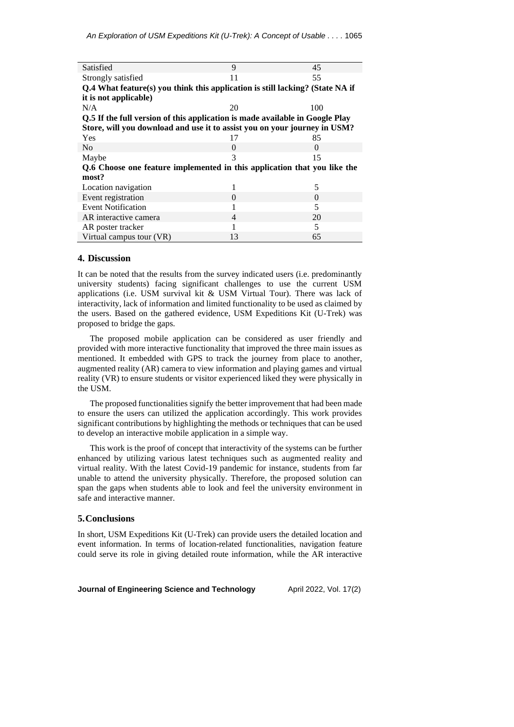| Satisfied                                                                     | 9              | 45       |  |  |  |  |  |
|-------------------------------------------------------------------------------|----------------|----------|--|--|--|--|--|
| Strongly satisfied                                                            | 11             | 55       |  |  |  |  |  |
| Q.4 What feature(s) you think this application is still lacking? (State NA if |                |          |  |  |  |  |  |
| it is not applicable)                                                         |                |          |  |  |  |  |  |
| N/A                                                                           | 20             | 100      |  |  |  |  |  |
| Q.5 If the full version of this application is made available in Google Play  |                |          |  |  |  |  |  |
| Store, will you download and use it to assist you on your journey in USM?     |                |          |  |  |  |  |  |
| Yes                                                                           | 17             | 85       |  |  |  |  |  |
| N <sub>o</sub>                                                                | $\theta$       | $\Omega$ |  |  |  |  |  |
| Maybe                                                                         | 3              | 15       |  |  |  |  |  |
| Q.6 Choose one feature implemented in this application that you like the      |                |          |  |  |  |  |  |
| most?                                                                         |                |          |  |  |  |  |  |
| Location navigation                                                           | 1              | 5        |  |  |  |  |  |
| Event registration                                                            | 0              | 0        |  |  |  |  |  |
| <b>Event Notification</b>                                                     | 1              | 5        |  |  |  |  |  |
| AR interactive camera                                                         | $\overline{4}$ | 20       |  |  |  |  |  |
| AR poster tracker                                                             | 1              | 5        |  |  |  |  |  |
| Virtual campus tour (VR)                                                      | 13             | 65       |  |  |  |  |  |

#### **4. Discussion**

It can be noted that the results from the survey indicated users (i.e. predominantly university students) facing significant challenges to use the current USM applications (i.e. USM survival kit & USM Virtual Tour). There was lack of interactivity, lack of information and limited functionality to be used as claimed by the users. Based on the gathered evidence, USM Expeditions Kit (U-Trek) was proposed to bridge the gaps.

The proposed mobile application can be considered as user friendly and provided with more interactive functionality that improved the three main issues as mentioned. It embedded with GPS to track the journey from place to another, augmented reality (AR) camera to view information and playing games and virtual reality (VR) to ensure students or visitor experienced liked they were physically in the USM.

The proposed functionalities signify the better improvement that had been made to ensure the users can utilized the application accordingly. This work provides significant contributions by highlighting the methods or techniques that can be used to develop an interactive mobile application in a simple way.

This work is the proof of concept that interactivity of the systems can be further enhanced by utilizing various latest techniques such as augmented reality and virtual reality. With the latest Covid-19 pandemic for instance, students from far unable to attend the university physically. Therefore, the proposed solution can span the gaps when students able to look and feel the university environment in safe and interactive manner.

#### **5.Conclusions**

In short, USM Expeditions Kit (U-Trek) can provide users the detailed location and event information. In terms of location-related functionalities, navigation feature could serve its role in giving detailed route information, while the AR interactive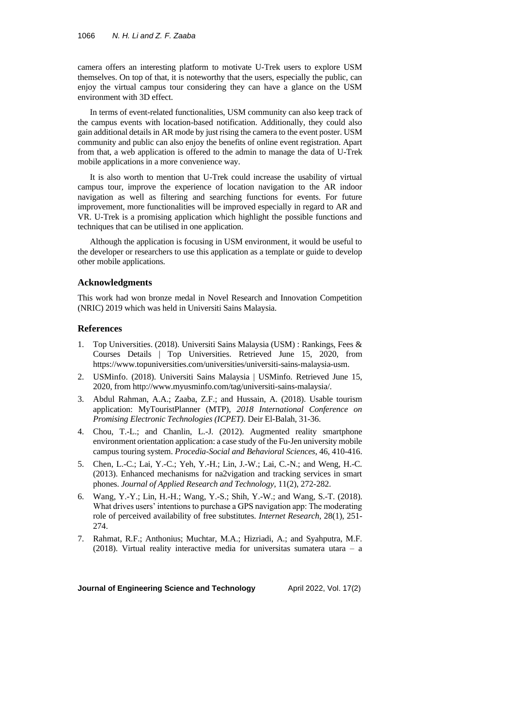camera offers an interesting platform to motivate U-Trek users to explore USM themselves. On top of that, it is noteworthy that the users, especially the public, can enjoy the virtual campus tour considering they can have a glance on the USM environment with 3D effect.

In terms of event-related functionalities, USM community can also keep track of the campus events with location-based notification. Additionally, they could also gain additional details in AR mode by just rising the camera to the event poster. USM community and public can also enjoy the benefits of online event registration. Apart from that, a web application is offered to the admin to manage the data of U-Trek mobile applications in a more convenience way.

It is also worth to mention that U-Trek could increase the usability of virtual campus tour, improve the experience of location navigation to the AR indoor navigation as well as filtering and searching functions for events. For future improvement, more functionalities will be improved especially in regard to AR and VR. U-Trek is a promising application which highlight the possible functions and techniques that can be utilised in one application.

Although the application is focusing in USM environment, it would be useful to the developer or researchers to use this application as a template or guide to develop other mobile applications.

#### **Acknowledgments**

This work had won bronze medal in Novel Research and Innovation Competition (NRIC) 2019 which was held in Universiti Sains Malaysia.

#### **References**

- 1. Top Universities. (2018). Universiti Sains Malaysia (USM) : Rankings, Fees & Courses Details | Top Universities. Retrieved June 15, 2020, from https://www.topuniversities.com/universities/universiti-sains-malaysia-usm.
- 2. USMinfo. (2018). Universiti Sains Malaysia | USMinfo. Retrieved June 15, 2020, from http://www.myusminfo.com/tag/universiti-sains-malaysia/.
- 3. Abdul Rahman, A.A.; Zaaba, Z.F.; and Hussain, A. (2018). Usable tourism application: MyTouristPlanner (MTP), *2018 International Conference on Promising Electronic Technologies (ICPET).* Deir El-Balah, 31-36.
- 4. Chou, T.-L.; and Chanlin, L.-J. (2012). Augmented reality smartphone environment orientation application: a case study of the Fu-Jen university mobile campus touring system. *Procedia-Social and Behavioral Sciences*, 46, 410-416.
- 5. Chen, L.-C.; Lai, Y.-C.; Yeh, Y.-H.; Lin, J.-W.; Lai, C.-N.; and Weng, H.-C. (2013). Enhanced mechanisms for na2vigation and tracking services in smart phones. *Journal of Applied Research and Technology*, 11(2), 272-282.
- 6. Wang, Y.-Y.; Lin, H.-H.; Wang, Y.-S.; Shih, Y.-W.; and Wang, S.-T. (2018). What drives users' intentions to purchase a GPS navigation app: The moderating role of perceived availability of free substitutes. *Internet Research*, 28(1), 251- 274.
- 7. Rahmat, R.F.; Anthonius; Muchtar, M.A.; Hizriadi, A.; and Syahputra, M.F. (2018). Virtual reality interactive media for universitas sumatera utara – a